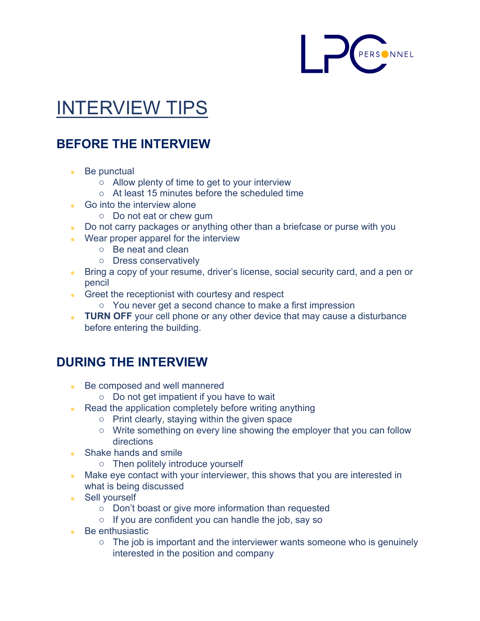

## INTERVIEW TIPS

## **BEFORE THE INTERVIEW**

- Be punctual
	- o Allow plenty of time to get to your interview
	- o At least 15 minutes before the scheduled time
- Go into the interview alone
	- o Do not eat or chew gum
- Do not carry packages or anything other than a briefcase or purse with you
- Wear proper apparel for the interview
	- o Be neat and clean
	- o Dress conservatively
- Bring a copy of your resume, driver's license, social security card, and a pen or pencil
- Greet the receptionist with courtesy and respect
	- o You never get a second chance to make a first impression
- **TURN OFF** your cell phone or any other device that may cause a disturbance before entering the building.

## **DURING THE INTERVIEW**

- Be composed and well mannered
	- o Do not get impatient if you have to wait
- Read the application completely before writing anything
	- o Print clearly, staying within the given space
	- o Write something on every line showing the employer that you can follow directions
- Shake hands and smile
	- o Then politely introduce yourself
- Make eye contact with your interviewer, this shows that you are interested in what is being discussed
- Sell yourself
	- o Don't boast or give more information than requested
	- o If you are confident you can handle the job, say so
- Be enthusiastic
	- o The job is important and the interviewer wants someone who is genuinely interested in the position and company